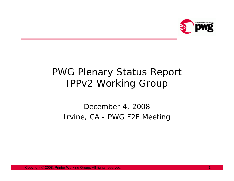

## PWG Plenary Status Report IPPv2 Working Group

## December 4, 2008 Irvine, CA - PWG F2F Meeting

Copyright © 2008, Pri nter Working Group. All rights reserved. 1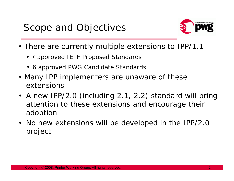

- There are currently multiple extensions to IPP/1.1
	- 7 approved IETF Proposed Standards
	- 6 approved PWG Candidate Standards
- Many IPP implementers are unaware of these extensions
- A new IPP/2.0 (including 2.1, 2.2) standard will bring attention to these extensions and encourage their adoption
- No new extensions will be developed in the IPP/2.0 project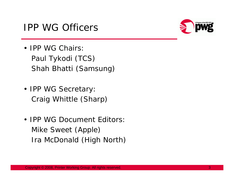



- **IPP WG Chairs:** Paul Tykodi (TCS) Shah Bhatti (Samsung)
- IPP WG Secretary Craig Whittle (Sharp)
- **IPP WG Document Editors** Mike Sweet (Apple) Ira McDonald (High North)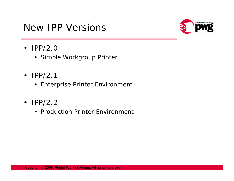## New IPP Versions



- IPP/2.0
	- Simple Workgroup Printer
- $\cdot$  IPP/2.1
	- Enterprise Printer Environment
- IPP/2.2
	- Production Printer Environment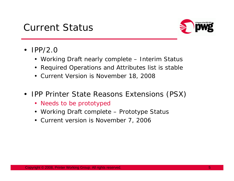## Current Status



- IPP/ 2.0
	- Working Draft nearly complete Interim Status
	- •Required Operations and Attributes list is stable
	- Current Version is November 18, 2008
- • IPP Printer State Reasons Extensions (PSX)
	- Needs to be prototyped
	- Working Draft complete Prototype Status
	- Current version is November 7, 2006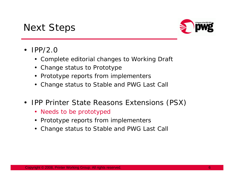



- • IPP/2.0
	- Complete editorial changes to Working Draft
	- Change status to Prototype
	- •Prototype reports from implementers
	- Change status to Stable and PWG Last Call
- • IPP Printer State Reasons Extensions (PSX)
	- Needs to be prototyped
	- Prototype reports from implementers
	- •Change status to Stable and PWG Last Call